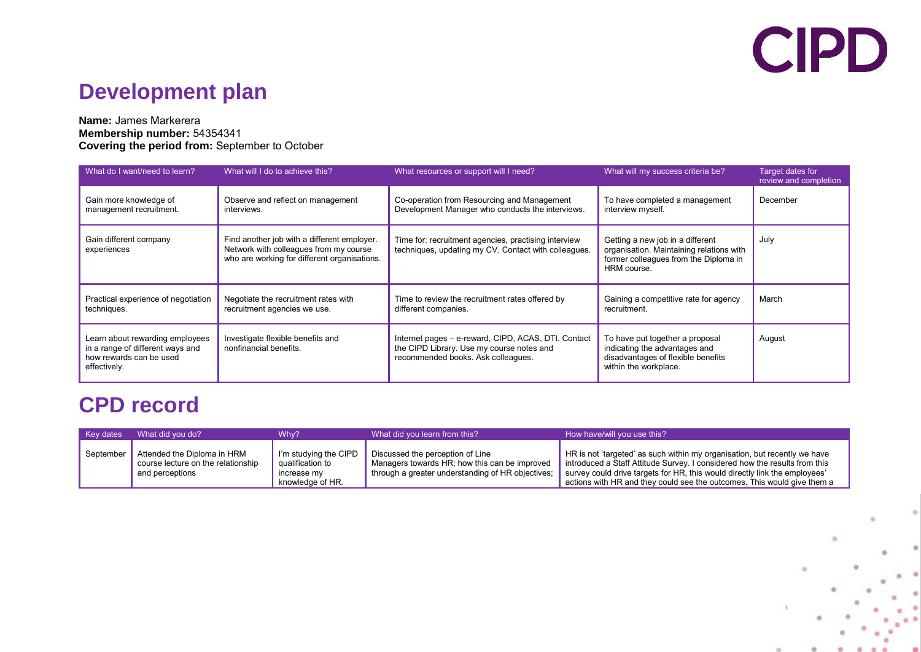## **CIPD**

## **Development plan**

#### **Name:** James Markerera **Membership number:** 54354341 **Covering the period from:** September to October

| What do I want/need to learn?                                                                                  | What will I do to achieve this?                                                                                                       | What resources or support will I need?                                                                                                 | What will my success criteria be?                                                                                                    | Target dates for<br>review and completion |
|----------------------------------------------------------------------------------------------------------------|---------------------------------------------------------------------------------------------------------------------------------------|----------------------------------------------------------------------------------------------------------------------------------------|--------------------------------------------------------------------------------------------------------------------------------------|-------------------------------------------|
| Gain more knowledge of<br>management recruitment.                                                              | Observe and reflect on management<br>interviews.                                                                                      | Co-operation from Resourcing and Management<br>Development Manager who conducts the interviews.                                        | To have completed a management<br>interview myself.                                                                                  | December                                  |
| Gain different company<br>experiences                                                                          | Find another job with a different employer.<br>Network with colleagues from my course<br>who are working for different organisations. | Time for: recruitment agencies, practising interview<br>techniques, updating my CV. Contact with colleagues.                           | Getting a new job in a different<br>organisation. Maintaining relations with<br>former colleagues from the Diploma in<br>HRM course. | July                                      |
| Practical experience of negotiation<br>techniques.                                                             | Negotiate the recruitment rates with<br>recruitment agencies we use.                                                                  | Time to review the recruitment rates offered by<br>different companies.                                                                | Gaining a competitive rate for agency<br>recruitment.                                                                                | March                                     |
| Learn about rewarding employees<br>in a range of different ways and<br>how rewards can be used<br>effectively. | Investigate flexible benefits and<br>nonfinancial benefits.                                                                           | Internet pages - e-reward, CIPD, ACAS, DTI. Contact<br>the CIPD Library. Use my course notes and<br>recommended books. Ask colleagues. | To have put together a proposal<br>indicating the advantages and<br>disadvantages of flexible benefits<br>within the workplace.      | August                                    |

### **CPD record**

| <b>Key dates</b> | What did you do?                                                                     | Whv?                                                                         | What did you learn from this?                                                                                                          | How have/will you use this?                                                                                                                                                                                                                                                                                      |
|------------------|--------------------------------------------------------------------------------------|------------------------------------------------------------------------------|----------------------------------------------------------------------------------------------------------------------------------------|------------------------------------------------------------------------------------------------------------------------------------------------------------------------------------------------------------------------------------------------------------------------------------------------------------------|
| September        | Attended the Diploma in HRM<br>course lecture on the relationship<br>and perceptions | I'm studying the CIPD<br>qualification to<br>increase my<br>knowledge of HR. | Discussed the perception of Line<br>Managers towards HR; how this can be improved<br>through a greater understanding of HR objectives; | HR is not 'targeted' as such within my organisation, but recently we have<br>introduced a Staff Attitude Survey. I considered how the results from this<br>survey could drive targets for HR, this would directly link the employees'<br>actions with HR and they could see the outcomes. This would give them a |